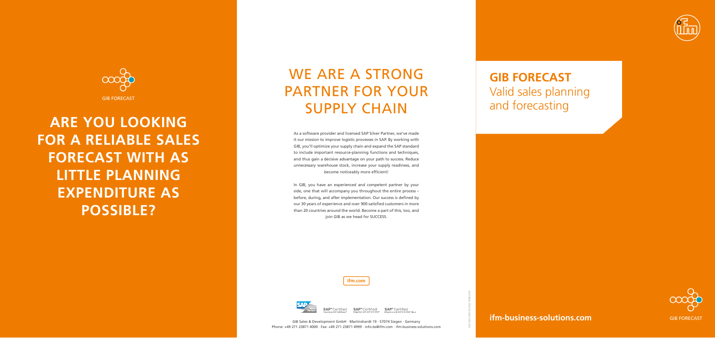**ifm-business-solutions.com**

**ifm.com**



Certified

2021-825 GBD 05.2022 FORECAST



# WE ARE A STRONG PARTNER FOR YOUR SUPPLY CHAIN



**ARE YOU LOOKING FOR A RELIABLE SALES FORECAST WITH AS LITTLE PLANNING EXPENDITURE AS POSSIBLE?** 



SAP<sup>®</sup>Certified SAP<sup>®</sup>Certified

### **GIB FORECAST** Valid sales planning and forecasting

As a software provider and licensed SAP Silver Partner, we've made it our mission to improve logistic processes in SAP. By working with GIB, you'll optimize your supply chain and expand the SAP standard to include important resource-planning functions and techniques, and thus gain a decisive advantage on your path to success. Reduce unnecessary warehouse stock, increase your supply readiness, and become noticeably more efficient!

In GIB, you have an experienced and competent partner by your side, one that will accompany you throughout the entire process – before, during, and after implementation. Our success is defined by our 30 years of experience and over 900 satisfied customers in more than 20 countries around the world. Become a part of this, too, and join GIB as we head for SUCCESS.